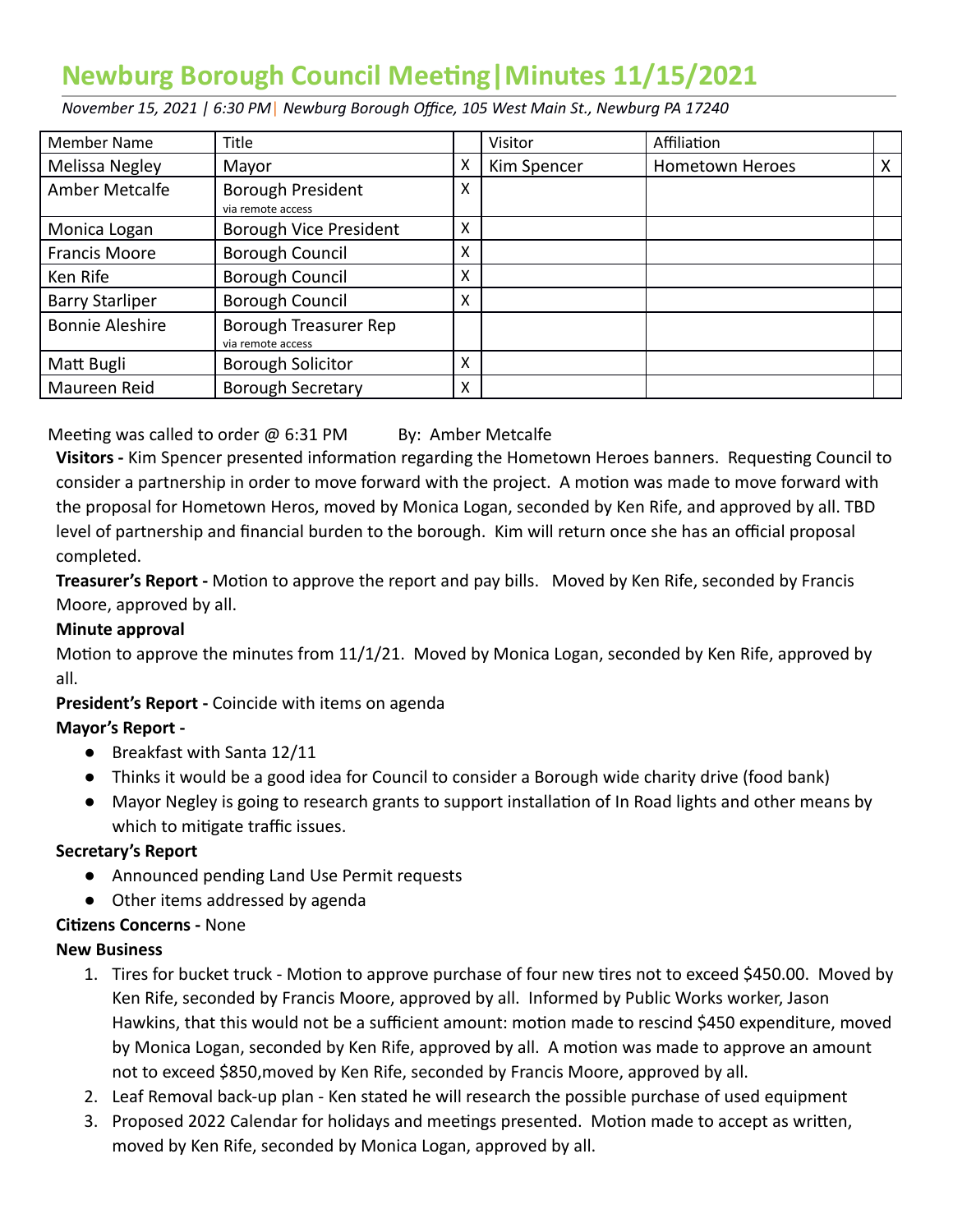# **Newburg Borough Council Meeting | Minutes 11/15/2021**

 *November 15, 2021 | 6:30 PM* | *Newburg Borough Office, 105 West Main St., Newburg PA 17240* 

| <b>Member Name</b>     | Title                                      |   | Visitor     | Affiliation            |   |
|------------------------|--------------------------------------------|---|-------------|------------------------|---|
| Melissa Negley         | Mayor                                      | X | Kim Spencer | <b>Hometown Heroes</b> | X |
| Amber Metcalfe         | Borough President<br>via remote access     | X |             |                        |   |
| Monica Logan           | Borough Vice President                     | X |             |                        |   |
| <b>Francis Moore</b>   | <b>Borough Council</b>                     | X |             |                        |   |
| Ken Rife               | Borough Council                            | X |             |                        |   |
| <b>Barry Starliper</b> | Borough Council                            | x |             |                        |   |
| <b>Bonnie Aleshire</b> | Borough Treasurer Rep<br>via remote access |   |             |                        |   |
| Matt Bugli             | <b>Borough Solicitor</b>                   | X |             |                        |   |
| Maureen Reid           | <b>Borough Secretary</b>                   | X |             |                        |   |

Meeting was called to order  $\omega$  6:31 PM By: Amber Metcalfe

Visitors - Kim Spencer presented information regarding the Hometown Heroes banners. Requesting Council to consider a partnership in order to move forward with the project. A motion was made to move forward with the proposal for Hometown Heros, moved by Monica Logan, seconded by Ken Rife, and approved by all. TBD level of partnership and financial burden to the borough. Kim will return once she has an official proposal completed.

**Treasurer's Report -** Motion to approve the report and pay bills. Moved by Ken Rife, seconded by Francis Moore, approved by all.

#### **Minute approval**

Motion to approve the minutes from 11/1/21. Moved by Monica Logan, seconded by Ken Rife, approved by all.

 **President's Report -** Coincide with items on agenda

## **Mayor's Report -**

- Breakfast with Santa 12/11
- Thinks it would be a good idea for Council to consider a Borough wide charity drive (food bank)
- Mayor Negley is going to research grants to support installation of In Road lights and other means by which to mitigate traffic issues.

## **Secretary's Report**

- Announced pending Land Use Permit requests
- Other items addressed by agenda

## **Cizens Concerns -** None

#### **New Business**

- 1. Tires for bucket truck Motion to approve purchase of four new tires not to exceed \$450.00. Moved by Ken Rife, seconded by Francis Moore, approved by all. Informed by Public Works worker, Jason Hawkins, that this would not be a sufficient amount: motion made to rescind \$450 expenditure, moved by Monica Logan, seconded by Ken Rife, approved by all. A motion was made to approve an amount not to exceed \$850,moved by Ken Rife, seconded by Francis Moore, approved by all.
- 2. Leaf Removal back-up plan Ken stated he will research the possible purchase of used equipment
- 3. Proposed 2022 Calendar for holidays and meetings presented. Motion made to accept as written, moved by Ken Rife, seconded by Monica Logan, approved by all.